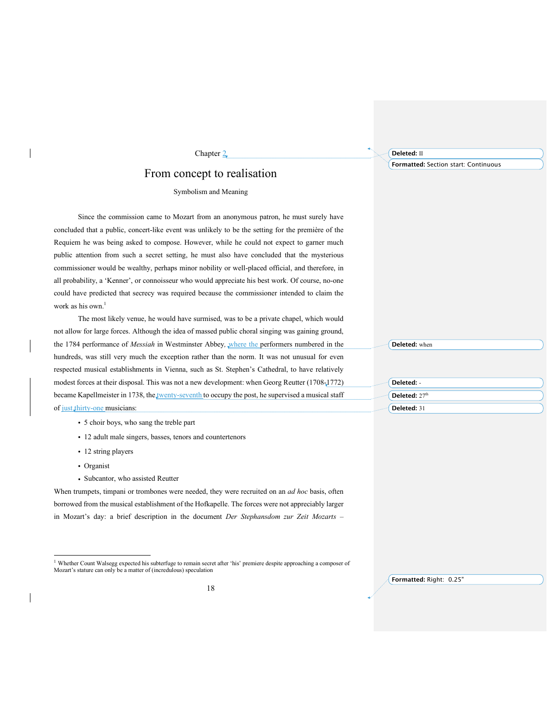## From concept to realisation

Chapter 2

## Symbolism and Meaning

Since the commission came to Mozart from an anonymous patron, he must surely have concluded that a public, concert-like event was unlikely to be the setting for the première of the Requiem he was being asked to compose. However, while he could not expect to garner much public attention from such a secret setting, he must also have concluded that the mysterious commissioner would be wealthy, perhaps minor nobility or well-placed official, and therefore, in all probability, a 'Kenner', or connoisseur who would appreciate his best work. Of course, no-one could have predicted that secrecy was required because the commissioner intended to claim the work as his own.<sup>1</sup>

The most likely venue, he would have surmised, was to be a private chapel, which would not allow for large forces. Although the idea of massed public choral singing was gaining ground, the 1784 performance of *Messiah* in Westminster Abbey*,* where the performers numbered in the hundreds, was still very much the exception rather than the norm. It was not unusual for even respected musical establishments in Vienna, such as St. Stephen's Cathedral, to have relatively modest forces at their disposal. This was not a new development: when Georg Reutter (1708-1772) became Kapellmeister in 1738, the twenty-seventh to occupy the post, he supervised a musical staff of just thirty-one musicians:

- ! 5 choir boys, who sang the treble part
- ! 12 adult male singers, basses, tenors and countertenors
- 12 string players
- Organist
- Subcantor, who assisted Reutter

When trumpets, timpani or trombones were needed, they were recruited on an *ad hoc* basis, often borrowed from the musical establishment of the Hofkapelle. The forces were not appreciably larger in Mozart's day: a brief description in the document *Der Stephansdom zur Zeit Mozarts –*

**Deleted:** II

**Formatted:** Section start: Continuous

**Deleted:** when

**Deleted:** - **Deleted:** 27<sup>th</sup> **Deleted:** 31

<sup>&</sup>lt;sup>1</sup> Whether Count Walsegg expected his subterfuge to remain secret after 'his' premiere despite approaching a composer of Mozart's stature can only be a matter of (incredulous) speculation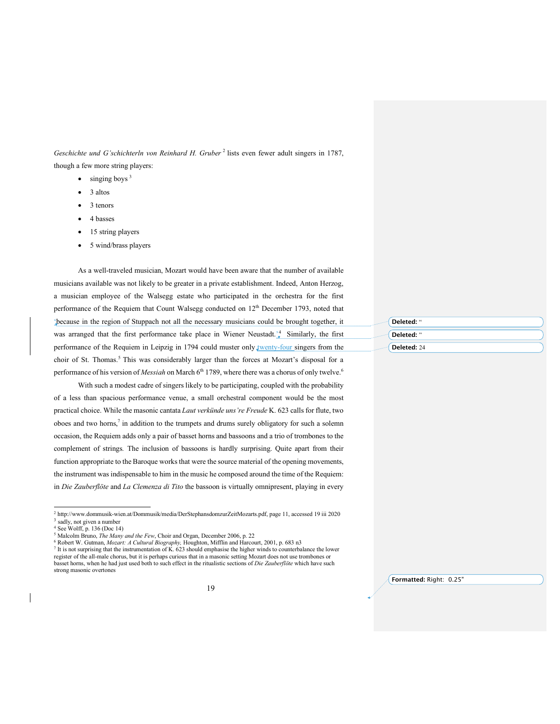*Geschichte und G'schichterln von Reinhard H. Gruber* <sup>2</sup> lists even fewer adult singers in 1787, though a few more string players:

- $\bullet$  singing boys  $3$
- 3 altos
- 3 tenors
- 4 basses
- 15 string players
- 5 wind/brass players

As a well-traveled musician, Mozart would have been aware that the number of available musicians available was not likely to be greater in a private establishment. Indeed, Anton Herzog, a musician employee of the Walsegg estate who participated in the orchestra for the first performance of the Requiem that Count Walsegg conducted on  $12<sup>th</sup>$  December 1793, noted that 'because in the region of Stuppach not all the necessary musicians could be brought together, it was arranged that the first performance take place in Wiener Neustadt.<sup>4</sup> Similarly, the first performance of the Requiem in Leipzig in 1794 could muster only **twenty-four singers from the** choir of St. Thomas.<sup>5</sup> This was considerably larger than the forces at Mozart's disposal for a performance of his version of *Messiah* on March 6<sup>th</sup> 1789, where there was a chorus of only twelve.<sup>6</sup>

With such a modest cadre of singers likely to be participating, coupled with the probability of a less than spacious performance venue, a small orchestral component would be the most practical choice. While the masonic cantata *Laut verkünde uns're Freude* K. 623 calls for flute, two oboes and two horns, $7$  in addition to the trumpets and drums surely obligatory for such a solemn occasion, the Requiem adds only a pair of basset horns and bassoons and a trio of trombones to the complement of strings*.* The inclusion of bassoons is hardly surprising. Quite apart from their function appropriate to the Baroque works that were the source material of the opening movements, the instrument was indispensable to him in the music he composed around the time of the Requiem: in *Die Zauberflöte* and *La Clemenza di Tito* the bassoon is virtually omnipresent, playing in every

**Deleted:** " **Deleted:** " **Deleted:** 24

 <sup>2</sup> http://www.dommusik-wien.at/Dommusik/media/DerStephansdomzurZeitMozarts.pdf, page 11, accessed <sup>19</sup> iii <sup>2020</sup>

sadly, not given a number

See Wolff, p. 136 (Doc 14) <sup>5</sup> Malcolm Bruno, *The Many and the Few*, Choir and Organ, December 2006, p. 22

<sup>6</sup> Robert W. Gutman, *Mozart: A Cultural Biography,* Houghton, Mifflin and Harcourt, 2001, p. 683 n3

<sup>7</sup> It is not surprising that the instrumentation of K. 623 should emphasise the higher winds to counterbalance the lower register of the all-male chorus, but it is perhaps curious that in a masonic setting Mozart does not use trombones or basset horns, when he had just used both to such effect in the ritualistic sections of *Die Zauberflöte* which have such strong masonic overtones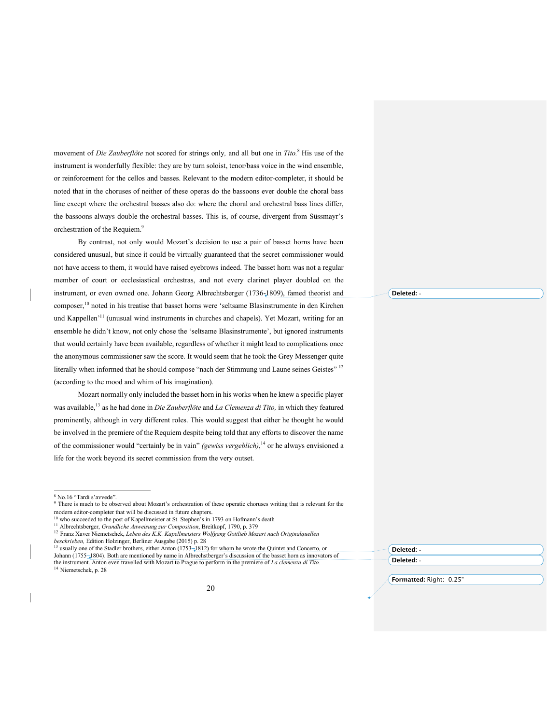movement of *Die Zauberflöte* not scored for strings only*,* and all but one in *Tito.* <sup>8</sup> His use of the instrument is wonderfully flexible: they are by turn soloist, tenor/bass voice in the wind ensemble, or reinforcement for the cellos and basses. Relevant to the modern editor-completer, it should be noted that in the choruses of neither of these operas do the bassoons ever double the choral bass line except where the orchestral basses also do: where the choral and orchestral bass lines differ, the bassoons always double the orchestral basses. This is, of course, divergent from Süssmayr's orchestration of the Requiem.<sup>9</sup>

By contrast, not only would Mozart's decision to use a pair of basset horns have been considered unusual, but since it could be virtually guaranteed that the secret commissioner would not have access to them, it would have raised eyebrows indeed. The basset horn was not a regular member of court or ecclesiastical orchestras, and not every clarinet player doubled on the instrument, or even owned one. Johann Georg Albrechtsberger (1736-1809), famed theorist and composer, <sup>10</sup> noted in his treatise that basset horns were 'seltsame Blasinstrumente in den Kirchen und Kappellen<sup>,11</sup> (unusual wind instruments in churches and chapels). Yet Mozart, writing for an ensemble he didn't know, not only chose the 'seltsame Blasinstrumente', but ignored instruments that would certainly have been available, regardless of whether it might lead to complications once the anonymous commissioner saw the score. It would seem that he took the Grey Messenger quite literally when informed that he should compose "nach der Stimmung und Laune seines Geistes" 12 (according to the mood and whim of his imagination).

Mozart normally only included the basset horn in his works when he knew a specific player was available,13 as he had done in *Die Zauberflöte* and *La Clemenza di Tito,* in which they featured prominently, although in very different roles. This would suggest that either he thought he would be involved in the premiere of the Requiem despite being told that any efforts to discover the name of the commissioner would "certainly be in vain" *(gewiss vergeblich)*, <sup>14</sup> or he always envisioned a life for the work beyond its secret commission from the very outset.

**Deleted:** -

**Formatted:** Right: 0.25"

**Deleted:** - **Deleted:** -

 <sup>8</sup> No.16 "Tardi s'avvede".

<sup>9</sup> There is much to be observed about Mozart's orchestration of these operatic choruses writing that is relevant for the modern editor-completer that will be discussed in future chapters.

<sup>&</sup>lt;sup>10</sup> who succeeded to the post of Kapellmeister at St. Stephen's in 1793 on Hofmann's death

<sup>11</sup> Albrechtsberger, *Grundliche Anweisung zur Composition*, Breitkopf, 1790, p. 379

<sup>12</sup> Franz Xaver Niemetschek, *Leben des K.K. Kapellmeisters Wolfgang Gottlieb Mozart nach Originalquellen*

*beschrieben,* Edition Holzinger, Berliner Ausgabe (2015) p. 28

<sup>&</sup>lt;sup>13</sup> usually one of the Stadler brothers, either Anton (1753–1812) for whom he wrote the Quintet and Concerto, or Johann (1755–1804). Both are mentioned by name in Albrechstberger's discussion of the basset horn as innovators of the instrument. Anton even travelled with Mozart to Prague to perform in the premiere of *La clemenza di Tito.*

<sup>14</sup> Niemetschek, p. 28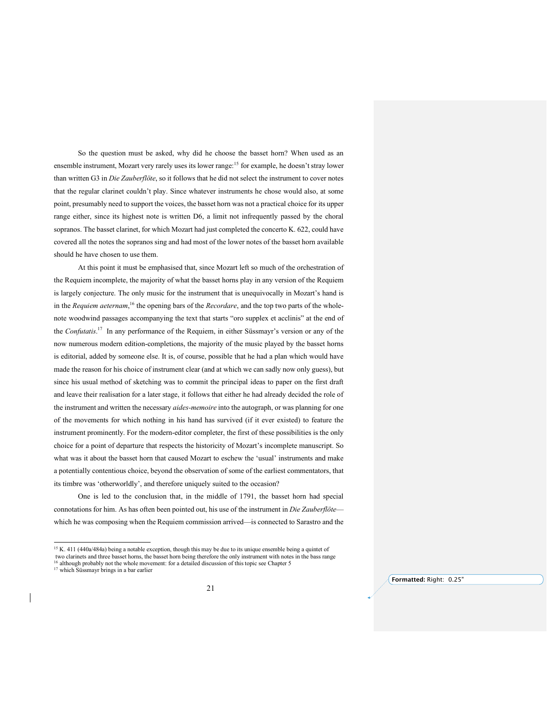So the question must be asked, why did he choose the basset horn? When used as an ensemble instrument, Mozart very rarely uses its lower range:<sup>15</sup> for example, he doesn't stray lower than written G3 in *Die Zauberflöte*, so it follows that he did not select the instrument to cover notes that the regular clarinet couldn't play. Since whatever instruments he chose would also, at some point, presumably need to support the voices, the basset horn was not a practical choice for its upper range either, since its highest note is written D6, a limit not infrequently passed by the choral sopranos. The basset clarinet, for which Mozart had just completed the concerto K. 622, could have covered all the notes the sopranos sing and had most of the lower notes of the basset horn available should he have chosen to use them.

At this point it must be emphasised that, since Mozart left so much of the orchestration of the Requiem incomplete, the majority of what the basset horns play in any version of the Requiem is largely conjecture. The only music for the instrument that is unequivocally in Mozart's hand is in the *Requiem aeternam*, <sup>16</sup> the opening bars of the *Recordare*, and the top two parts of the wholenote woodwind passages accompanying the text that starts "oro supplex et acclinis" at the end of the *Confutatis*. <sup>17</sup> In any performance of the Requiem, in either Süssmayr's version or any of the now numerous modern edition-completions, the majority of the music played by the basset horns is editorial, added by someone else. It is, of course, possible that he had a plan which would have made the reason for his choice of instrument clear (and at which we can sadly now only guess), but since his usual method of sketching was to commit the principal ideas to paper on the first draft and leave their realisation for a later stage, it follows that either he had already decided the role of the instrument and written the necessary *aides-memoire* into the autograph, or was planning for one of the movements for which nothing in his hand has survived (if it ever existed) to feature the instrument prominently. For the modern-editor completer, the first of these possibilities is the only choice for a point of departure that respects the historicity of Mozart's incomplete manuscript. So what was it about the basset horn that caused Mozart to eschew the 'usual' instruments and make a potentially contentious choice, beyond the observation of some of the earliest commentators, that its timbre was 'otherworldly', and therefore uniquely suited to the occasion?

One is led to the conclusion that, in the middle of 1791, the basset horn had special connotations for him. As has often been pointed out, his use of the instrument in *Die Zauberflöte* which he was composing when the Requiem commission arrived—is connected to Sarastro and the

<sup>&</sup>lt;sup>15</sup> K. 411 (440a/484a) being a notable exception, though this may be due to its unique ensemble being a quintet of two clarinets and three basset horns, the basset horn being therefore the only instrument with notes in the bass range <sup>16</sup> although probably not the whole movement: for a detailed discussion of this topic see Chapter 5

<sup>&</sup>lt;sup>17</sup> which Süssmayr brings in a bar earlier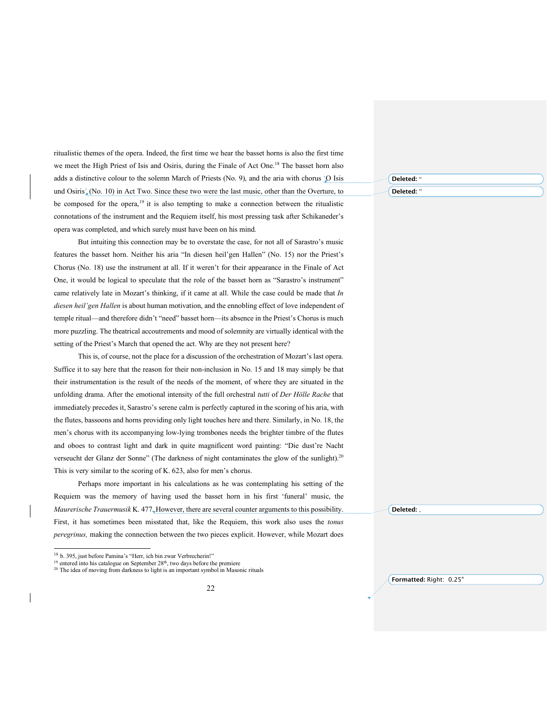ritualistic themes of the opera. Indeed, the first time we hear the basset horns is also the first time we meet the High Priest of Isis and Osiris, during the Finale of Act One.<sup>18</sup> The basset horn also adds a distinctive colour to the solemn March of Priests (No. 9), and the aria with chorus 'O Isis und Osiris<sup>'</sup> (No. 10) in Act Two. Since these two were the last music, other than the Overture, to be composed for the opera,<sup>19</sup> it is also tempting to make a connection between the ritualistic connotations of the instrument and the Requiem itself, his most pressing task after Schikaneder's opera was completed, and which surely must have been on his mind.

But intuiting this connection may be to overstate the case, for not all of Sarastro's music features the basset horn. Neither his aria "In diesen heil'gen Hallen" (No. 15) nor the Priest's Chorus (No. 18) use the instrument at all. If it weren't for their appearance in the Finale of Act One, it would be logical to speculate that the role of the basset horn as "Sarastro's instrument" came relatively late in Mozart's thinking, if it came at all. While the case could be made that *In diesen heil'gen Hallen* is about human motivation, and the ennobling effect of love independent of temple ritual—and therefore didn't "need" basset horn—its absence in the Priest's Chorus is much more puzzling. The theatrical accoutrements and mood of solemnity are virtually identical with the setting of the Priest's March that opened the act. Why are they not present here?

This is, of course, not the place for a discussion of the orchestration of Mozart's last opera. Suffice it to say here that the reason for their non-inclusion in No. 15 and 18 may simply be that their instrumentation is the result of the needs of the moment, of where they are situated in the unfolding drama. After the emotional intensity of the full orchestral *tutti* of *Der Hölle Rache* that immediately precedes it, Sarastro's serene calm is perfectly captured in the scoring of his aria, with the flutes, bassoons and horns providing only light touches here and there. Similarly, in No. 18, the men's chorus with its accompanying low-lying trombones needs the brighter timbre of the flutes and oboes to contrast light and dark in quite magnificent word painting: "Die dust're Nacht verseucht der Glanz der Sonne" (The darkness of night contaminates the glow of the sunlight).<sup>20</sup> This is very similar to the scoring of K. 623, also for men's chorus.

Perhaps more important in his calculations as he was contemplating his setting of the Requiem was the memory of having used the basset horn in his first 'funeral' music, the *Maurerische Trauermusik* K. 477. However, there are several counter arguments to this possibility. First, it has sometimes been misstated that, like the Requiem, this work also uses the *tonus peregrinus,* making the connection between the two pieces explicit. However, while Mozart does

**Deleted:** " Deleted:

**Deleted:** ,

 <sup>18</sup> b. 395, just before Pamina's "Herr, ich bin zwar Verbrecherin!"

 $19$  entered into his catalogue on September 28<sup>th</sup>, two days before the premiere

<sup>&</sup>lt;sup>20</sup> The idea of moving from darkness to light is an important symbol in Masonic rituals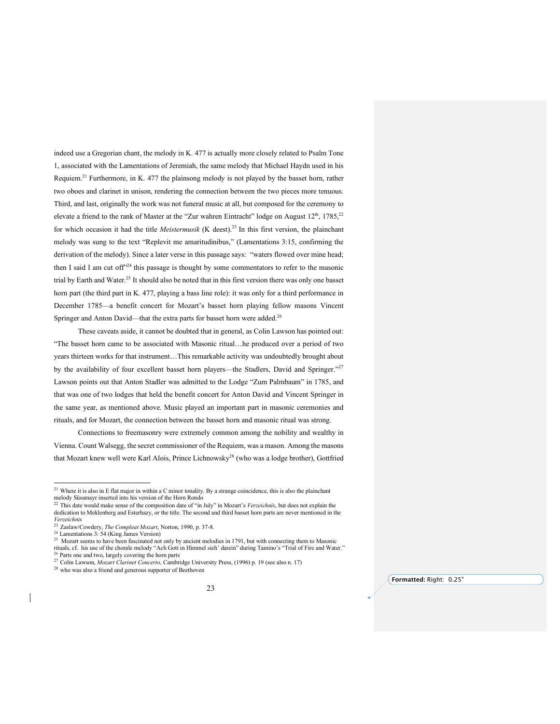indeed use a Gregorian chant, the melody in K. 477 is actually more closely related to Psalm Tone 1, associated with the Lamentations of Jeremiah, the same melody that Michael Haydn used in his Requiem.<sup>21</sup> Furthermore, in K. 477 the plainsong melody is not played by the basset horn, rather two oboes and clarinet in unison, rendering the connection between the two pieces more tenuous. Third, and last, originally the work was not funeral music at all, but composed for the ceremony to elevate a friend to the rank of Master at the "Zur wahren Eintracht" lodge on August 12<sup>th</sup>, 1785,<sup>22</sup> for which occasion it had the title *Meistermusik* (K deest).<sup>23</sup> In this first version, the plainchant melody was sung to the text "Replevit me amaritudinibus," (Lamentations 3:15, confirming the derivation of the melody). Since a later verse in this passage says: "waters flowed over mine head; then I said I am cut of  $f^{\prime24}$  this passage is thought by some commentators to refer to the masonic trial by Earth and Water.<sup>25</sup> It should also be noted that in this first version there was only one basset horn part (the third part in K. 477, playing a bass line role): it was only for a third performance in December 1785—a benefit concert for Mozart's basset horn playing fellow masons Vincent Springer and Anton David—that the extra parts for basset horn were added.<sup>26</sup>

These caveats aside, it cannot be doubted that in general, as Colin Lawson has pointed out: "The basset horn came to be associated with Masonic ritual…he produced over a period of two years thirteen works for that instrument…This remarkable activity was undoubtedly brought about by the availability of four excellent basset horn players—the Stadlers, David and Springer."<sup>27</sup> Lawson points out that Anton Stadler was admitted to the Lodge "Zum Palmbaum" in 1785, and that was one of two lodges that held the benefit concert for Anton David and Vincent Springer in the same year, as mentioned above. Music played an important part in masonic ceremonies and rituals, and for Mozart, the connection between the basset horn and masonic ritual was strong.

Connections to freemasonry were extremely common among the nobility and wealthy in Vienna. Count Walsegg, the secret commissioner of the Requiem, was a mason. Among the masons that Mozart knew well were Karl Alois, Prince Lichnowsky<sup>28</sup> (who was a lodge brother), Gottfried

<sup>&</sup>lt;sup>21</sup> Where it is also in E flat major in within a C minor tonality. By a strange coincidence, this is also the plainchant melody Süssmayr inserted into his version of the Horn Rondo

<sup>22</sup> This date would make sense of the composition date of "in July" in Mozart's *Verzeichnis*, but does not explain the dedication to Meklenberg and Esterhazy, or the title. The second and third basset horn parts are never mentioned in the *Verzeichnis*

<sup>23</sup> Zaslaw/Cowdery, *The Compleat Mozart*, Norton, 1990, p. 37-8. <sup>24</sup> Lamentations 3: 54 (King James Version)

<sup>&</sup>lt;sup>25</sup> Mozart seems to have been fascinated not only by ancient melodies in 1791, but with connecting them to Masonic rituals, cf. his use of the chorale melody "Ach Gott in Himmel sieh' darein" during Tamino's "Trial of Fire and Water." <sup>26</sup> Parts one and two, largely covering the horn parts

<sup>27</sup> Colin Lawson, *Mozart Clarinet Concerto*, Cambridge University Press, (1996) p. 19 (see also n. 17)

<sup>28</sup> who was also a friend and generous supporter of Beethoven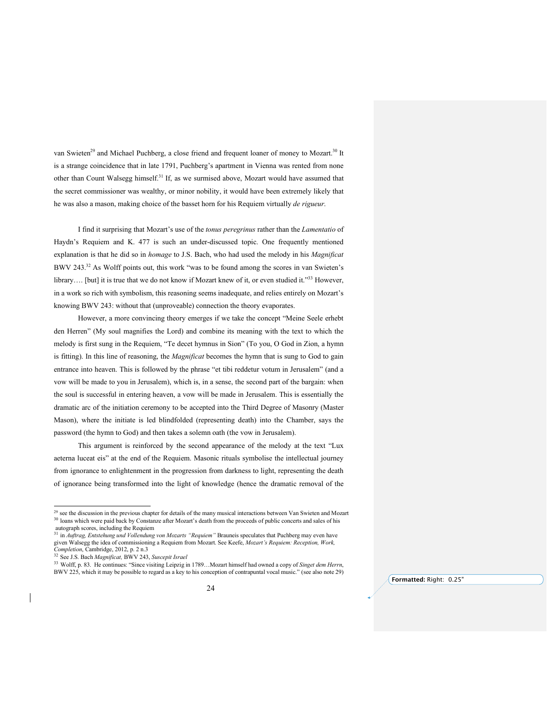van Swieten<sup>29</sup> and Michael Puchberg, a close friend and frequent loaner of money to Mozart.<sup>30</sup> It is a strange coincidence that in late 1791, Puchberg's apartment in Vienna was rented from none other than Count Walsegg himself.<sup>31</sup> If, as we surmised above, Mozart would have assumed that the secret commissioner was wealthy, or minor nobility, it would have been extremely likely that he was also a mason, making choice of the basset horn for his Requiem virtually *de rigueur*.

I find it surprising that Mozart's use of the *tonus peregrinus* rather than the *Lamentatio* of Haydn's Requiem and K. 477 is such an under-discussed topic. One frequently mentioned explanation is that he did so in *homage* to J.S. Bach, who had used the melody in his *Magnificat* BWV 243.<sup>32</sup> As Wolff points out, this work "was to be found among the scores in van Swieten's library.... [but] it is true that we do not know if Mozart knew of it, or even studied it."<sup>33</sup> However, in a work so rich with symbolism, this reasoning seems inadequate, and relies entirely on Mozart's knowing BWV 243: without that (unproveable) connection the theory evaporates.

However, a more convincing theory emerges if we take the concept "Meine Seele erhebt den Herren" (My soul magnifies the Lord) and combine its meaning with the text to which the melody is first sung in the Requiem, "Te decet hymnus in Sion" (To you, O God in Zion, a hymn is fitting). In this line of reasoning, the *Magnificat* becomes the hymn that is sung to God to gain entrance into heaven. This is followed by the phrase "et tibi reddetur votum in Jerusalem" (and a vow will be made to you in Jerusalem), which is, in a sense, the second part of the bargain: when the soul is successful in entering heaven, a vow will be made in Jerusalem. This is essentially the dramatic arc of the initiation ceremony to be accepted into the Third Degree of Masonry (Master Mason), where the initiate is led blindfolded (representing death) into the Chamber, says the password (the hymn to God) and then takes a solemn oath (the vow in Jerusalem).

This argument is reinforced by the second appearance of the melody at the text "Lux aeterna luceat eis" at the end of the Requiem. Masonic rituals symbolise the intellectual journey from ignorance to enlightenment in the progression from darkness to light, representing the death of ignorance being transformed into the light of knowledge (hence the dramatic removal of the

<sup>&</sup>lt;sup>29</sup> see the discussion in the previous chapter for details of the many musical interactions between Van Swieten and Mozart <sup>30</sup> loans which were paid back by Constanze after Mozart's death from the proceeds of public concerts and sales of his autograph scores, including the Requiem

<sup>31</sup> in *Auftrag, Entstehung und Vollendung von Mozarts "Requiem"* Brauneis speculates that Puchberg may even have given Walsegg the idea of commissioning a Requiem from Mozart. See Keefe, *Mozart's Requiem: Reception, Work,*

*Completion*, Cambridge, 2012, p. 2 n.3<br><sup>32</sup> See J.S. Bach *Magnificat*, BWV 243, *Suscepit Israel* 

<sup>33</sup> Wolff, p. 83. He continues: "Since visiting Leipzig in 1789…Mozart himself had owned a copy of *Singet dem Herrn*, BWV 225, which it may be possible to regard as a key to his conception of contrapuntal vocal music." (see also note 29)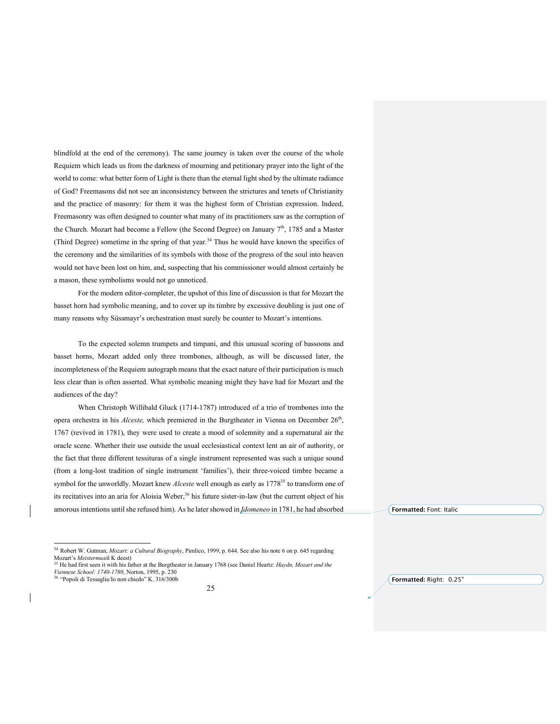blindfold at the end of the ceremony). The same journey is taken over the course of the whole Requiem which leads us from the darkness of mourning and petitionary prayer into the light of the world to come: what better form of Light is there than the eternal light shed by the ultimate radiance of God? Freemasons did not see an inconsistency between the strictures and tenets of Christianity and the practice of masonry: for them it was the highest form of Christian expression. Indeed, Freemasonry was often designed to counter what many of its practitioners saw as the corruption of the Church. Mozart had become a Fellow (the Second Degree) on January  $7<sup>th</sup>$ , 1785 and a Master (Third Degree) sometime in the spring of that year.<sup>34</sup> Thus he would have known the specifics of the ceremony and the similarities of its symbols with those of the progress of the soul into heaven would not have been lost on him, and, suspecting that his commissioner would almost certainly be a mason, these symbolisms would not go unnoticed.

For the modern editor-completer, the upshot of this line of discussion is that for Mozart the basset horn had symbolic meaning, and to cover up its timbre by excessive doubling is just one of many reasons why Süssmayr's orchestration must surely be counter to Mozart's intentions.

To the expected solemn trumpets and timpani, and this unusual scoring of bassoons and basset horns, Mozart added only three trombones, although, as will be discussed later, the incompleteness of the Requiem autograph means that the exact nature of their participation is much less clear than is often asserted. What symbolic meaning might they have had for Mozart and the audiences of the day?

When Christoph Willibald Gluck (1714-1787) introduced of a trio of trombones into the opera orchestra in his *Alceste*, which premiered in the Burgtheater in Vienna on December 26<sup>th</sup>, 1767 (revived in 1781), they were used to create a mood of solemnity and a supernatural air the oracle scene. Whether their use outside the usual ecclesiastical context lent an air of authority, or the fact that three different tessituras of a single instrument represented was such a unique sound (from a long-lost tradition of single instrument 'families'), their three-voiced timbre became a symbol for the unworldly. Mozart knew *Alceste* well enough as early as 1778<sup>35</sup> to transform one of its recitatives into an aria for Aloisia Weber,<sup>36</sup> his future sister-in-law (but the current object of his amorous intentions until she refused him). As he later showed in *Idomeneo* in 1781, he had absorbed

**Formatted:** Right: 0.25"

**Formatted:** Font: Italic

 <sup>34</sup> Robert W. Gutman, *Mozart: <sup>a</sup> Cultural Biography*, Pimlico, 1999, p. 644. See also his note <sup>6</sup> on p. <sup>645</sup> regarding Mozart's *Meistermusik* K deest)

<sup>35</sup> He had first seen it with his father at the Burgtheater in January 1768 (see Daniel Heartz: *Haydn, Mozart and the Viennese School: 1740-1780*, Norton, 1995, p. 230 <sup>36</sup> "Popoli di Tessaglia/Io non chiedo" K. 316/300b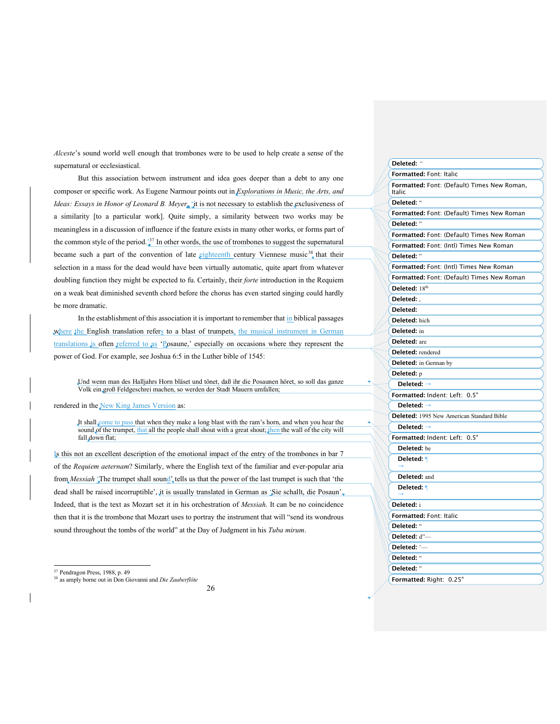*Alceste*'s sound world well enough that trombones were to be used to help create a sense of the supernatural or ecclesiastical.

But this association between instrument and idea goes deeper than a debt to any one composer or specific work. As Eugene Narmour points out in *Explorations in Music, the Arts, and Ideas: Essays in Honor of Leonard B. Meyer*, 'it is not necessary to establish the exclusiveness of a similarity [to a particular work]. Quite simply, a similarity between two works may be meaningless in a discussion of influence if the feature exists in many other works, or forms part of the common style of the period.<sup>37</sup> In other words, the use of trombones to suggest the supernatural became such a part of the convention of late eighteenth century Viennese music<sup>38</sup> that their selection in a mass for the dead would have been virtually automatic, quite apart from whatever doubling function they might be expected to fu. Certainly, their *forte* introduction in the Requiem on a weak beat diminished seventh chord before the chorus has even started singing could hardly be more dramatic.

In the establishment of this association it is important to remember that in biblical passages where the English translation refers to a blast of trumpets, the musical instrument in German translations is often referred to as 'Posaune,' especially on occasions where they represent the power of God. For example, see Joshua 6:5 in the Luther bible of 1545:

Und wenn man des Halljahrs Horn bläset und tönet, daß ihr die Posaunen höret, so soll das ganze Volk ein groß Feldgeschrei machen, so werden der Stadt Mauern umfallen;

rendered in the New King James Version as:

It shall come to pass that when they make a long blast with the ram's horn, and when you hear the sound of the trumpet, that all the people shall shout with a great shout; then the wall of the city will fall down flat;

Is this not an excellent description of the emotional impact of the entry of the trombones in bar 7 of the *Requiem aeternam*? Similarly, where the English text of the familiar and ever-popular aria from *Messiah* The trumpet shall sound', tells us that the power of the last trumpet is such that 'the dead shall be raised incorruptible', it is usually translated in German as 'Sie schallt, die Posaun'. Indeed, that is the text as Mozart set it in his orchestration of *Messiah*. It can be no coincidence then that it is the trombone that Mozart uses to portray the instrument that will "send its wondrous sound throughout the tombs of the world" at the Day of Judgment in his *Tuba mirum*.

<sup>38</sup> as amply borne out in Don Giovanni and *Die Zauberflöte*

| Deleted: "                                            |
|-------------------------------------------------------|
| <b>Formatted: Font: Italic</b>                        |
| Formatted: Font: (Default) Times New Roman,<br>Italic |
| Deleted: "                                            |
| Formatted: Font: (Default) Times New Roman            |
| Deleted: "                                            |
| Formatted: Font: (Default) Times New Roman            |
| Formatted: Font: (Intl) Times New Roman               |
| Deleted: "                                            |
| Formatted: Font: (Intl) Times New Roman               |
| Formatted: Font: (Default) Times New Roman            |
| Deleted: 18th                                         |
| Deleted:                                              |
| Deleted:                                              |
| Deleted: hich                                         |
| Deleted: in                                           |
| Deleted: are                                          |
| Deleted: rendered                                     |
| <b>Deleted:</b> in German by                          |
| Deleted: p                                            |
| Deleted:                                              |
| Formatted: Indent: Left: 0.5"                         |
| Deleted:                                              |
| <b>Deleted:</b> 1995 New American Standard Bible      |
| Deleted:                                              |
| Formatted: Indent: Left: 0.5"                         |
| <b>Deleted:</b> be                                    |
| Deleted: ¶                                            |
|                                                       |
| Deleted: and                                          |
| Deleted: 1                                            |
| Deleted: i                                            |
| Formatted: Font: Italic                               |
| Deleted: "                                            |
| Deleted: d"-                                          |
| Deleted: '-                                           |
| Deleted: "                                            |
| Deleted: "                                            |
| Formatted: Right: 0.25"                               |
|                                                       |

 <sup>37</sup> Pendragon Press, 1988, p. <sup>49</sup>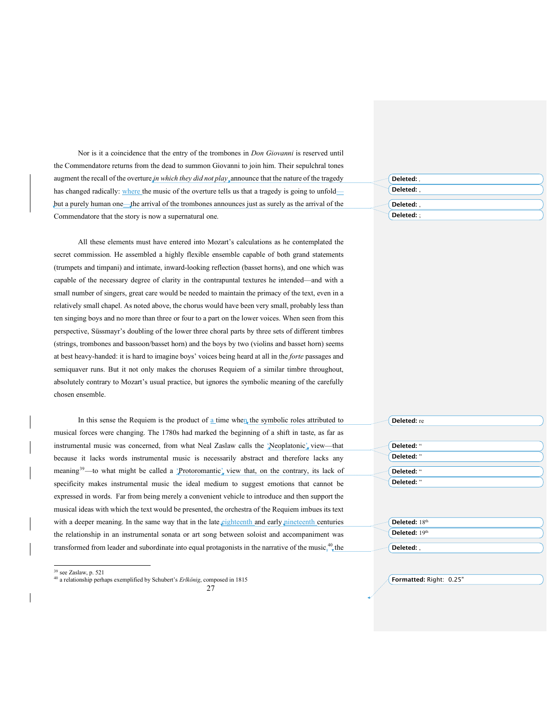Nor is it a coincidence that the entry of the trombones in *Don Giovanni* is reserved until the Commendatore returns from the dead to summon Giovanni to join him. Their sepulchral tones augment the recall of the overture *in which they did not play* announce that the nature of the tragedy has changed radically: where the music of the overture tells us that a tragedy is going to unfold but a purely human one—the arrival of the trombones announces just as surely as the arrival of the Commendatore that the story is now a supernatural one.

All these elements must have entered into Mozart's calculations as he contemplated the secret commission. He assembled a highly flexible ensemble capable of both grand statements (trumpets and timpani) and intimate, inward-looking reflection (basset horns), and one which was capable of the necessary degree of clarity in the contrapuntal textures he intended—and with a small number of singers, great care would be needed to maintain the primacy of the text, even in a relatively small chapel. As noted above, the chorus would have been very small, probably less than ten singing boys and no more than three or four to a part on the lower voices. When seen from this perspective, Süssmayr's doubling of the lower three choral parts by three sets of different timbres (strings, trombones and bassoon/basset horn) and the boys by two (violins and basset horn) seems at best heavy-handed: it is hard to imagine boys' voices being heard at all in the *forte* passages and semiquaver runs. But it not only makes the choruses Requiem of a similar timbre throughout, absolutely contrary to Mozart's usual practice, but ignores the symbolic meaning of the carefully chosen ensemble.

In this sense the Requiem is the product of a time when the symbolic roles attributed to musical forces were changing. The 1780s had marked the beginning of a shift in taste, as far as instrumental music was concerned, from what Neal Zaslaw calls the 'Neoplatonic', view-that because it lacks words instrumental music is necessarily abstract and therefore lacks any meaning<sup>39</sup>—to what might be called a  $\downarrow$ Protoromantic $\downarrow$  view that, on the contrary, its lack of specificity makes instrumental music the ideal medium to suggest emotions that cannot be expressed in words. Far from being merely a convenient vehicle to introduce and then support the musical ideas with which the text would be presented, the orchestra of the Requiem imbues its text with a deeper meaning. In the same way that in the late eighteenth and early nineteenth centuries the relationship in an instrumental sonata or art song between soloist and accompaniment was transformed from leader and subordinate into equal protagonists in the narrative of the music.<sup>40</sup>, the

39 see Zaslaw, p. <sup>521</sup>

<sup>40</sup> a relationship perhaps exemplified by Schubert's *Erlkönig*, composed in 1815

| Deleted:<br>4 |  |
|---------------|--|
| Deleted:      |  |
| Deleted:      |  |
| Deleted:      |  |

| Deleted: re   |  |  |  |
|---------------|--|--|--|
|               |  |  |  |
| Deleted: "    |  |  |  |
| Deleted: "    |  |  |  |
| Deleted: "    |  |  |  |
| Deleted: "    |  |  |  |
|               |  |  |  |
|               |  |  |  |
|               |  |  |  |
| Deleted: 18th |  |  |  |
| Deleted: 19th |  |  |  |

**Deleted:** ,

<sup>27</sup>